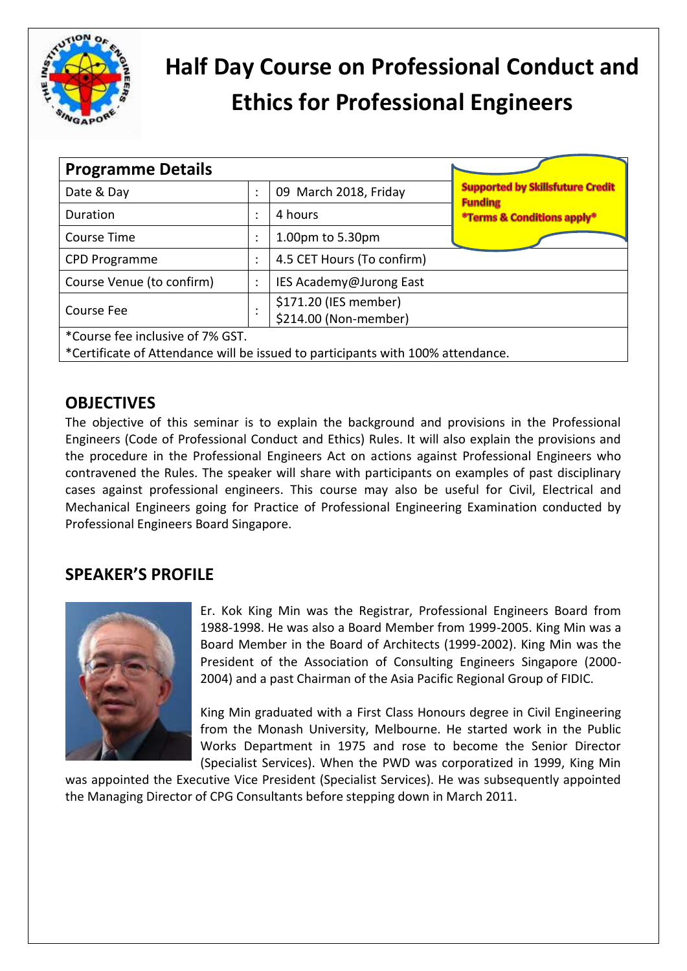

# **Half Day Course on Professional Conduct and Ethics for Professional Engineers**

| <b>Programme Details</b>                                                        |                           |                                                |                                                           |  |  |  |  |
|---------------------------------------------------------------------------------|---------------------------|------------------------------------------------|-----------------------------------------------------------|--|--|--|--|
| Date & Day                                                                      |                           | 09 March 2018, Friday                          | <b>Supported by Skillsfuture Credit</b><br><b>Funding</b> |  |  |  |  |
| Duration                                                                        | ٠<br>$\ddot{\phantom{a}}$ | 4 hours                                        | <sup>o</sup> Terms & Conditions apply <sup>®</sup>        |  |  |  |  |
| <b>Course Time</b>                                                              | ٠<br>$\cdot$              | 1.00pm to 5.30pm                               |                                                           |  |  |  |  |
| <b>CPD Programme</b>                                                            | ٠<br>$\cdot$              | 4.5 CET Hours (To confirm)                     |                                                           |  |  |  |  |
| Course Venue (to confirm)                                                       | ٠<br>$\ddot{\phantom{0}}$ | IES Academy@Jurong East                        |                                                           |  |  |  |  |
| Course Fee                                                                      | ٠<br>٠                    | \$171.20 (IES member)<br>\$214.00 (Non-member) |                                                           |  |  |  |  |
| *Course fee inclusive of 7% GST.                                                |                           |                                                |                                                           |  |  |  |  |
| *Certificate of Attendance will be issued to participants with 100% attendance. |                           |                                                |                                                           |  |  |  |  |

# **OBJECTIVES**

The objective of this seminar is to explain the background and provisions in the Professional Engineers (Code of Professional Conduct and Ethics) Rules. It will also explain the provisions and the procedure in the Professional Engineers Act on actions against Professional Engineers who contravened the Rules. The speaker will share with participants on examples of past disciplinary cases against professional engineers. This course may also be useful for Civil, Electrical and Mechanical Engineers going for Practice of Professional Engineering Examination conducted by Professional Engineers Board Singapore.

# **SPEAKER'S PROFILE**



Er. Kok King Min was the Registrar, Professional Engineers Board from 1988-1998. He was also a Board Member from 1999-2005. King Min was a Board Member in the Board of Architects (1999-2002). King Min was the President of the Association of Consulting Engineers Singapore (2000- 2004) and a past Chairman of the Asia Pacific Regional Group of FIDIC.

King Min graduated with a First Class Honours degree in Civil Engineering from the Monash University, Melbourne. He started work in the Public Works Department in 1975 and rose to become the Senior Director (Specialist Services). When the PWD was corporatized in 1999, King Min

was appointed the Executive Vice President (Specialist Services). He was subsequently appointed the Managing Director of CPG Consultants before stepping down in March 2011.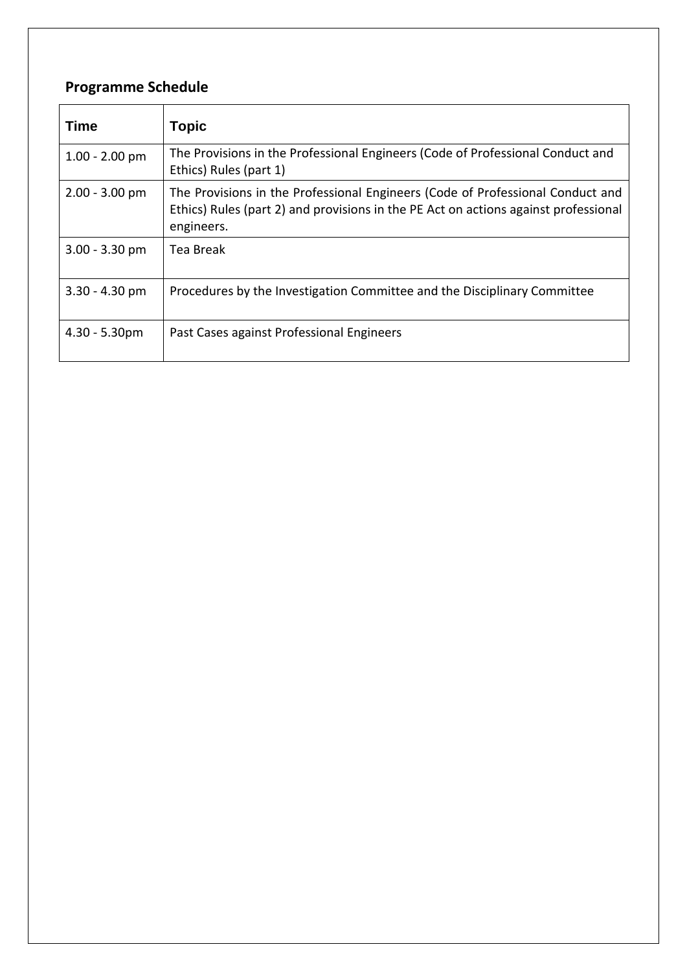# **Programme Schedule**

| <b>Time</b>      | <b>Topic</b>                                                                                                                                                                        |
|------------------|-------------------------------------------------------------------------------------------------------------------------------------------------------------------------------------|
| $1.00 - 2.00$ pm | The Provisions in the Professional Engineers (Code of Professional Conduct and<br>Ethics) Rules (part 1)                                                                            |
| $2.00 - 3.00$ pm | The Provisions in the Professional Engineers (Code of Professional Conduct and<br>Ethics) Rules (part 2) and provisions in the PE Act on actions against professional<br>engineers. |
| $3.00 - 3.30$ pm | Tea Break                                                                                                                                                                           |
| $3.30 - 4.30$ pm | Procedures by the Investigation Committee and the Disciplinary Committee                                                                                                            |
| $4.30 - 5.30$ pm | Past Cases against Professional Engineers                                                                                                                                           |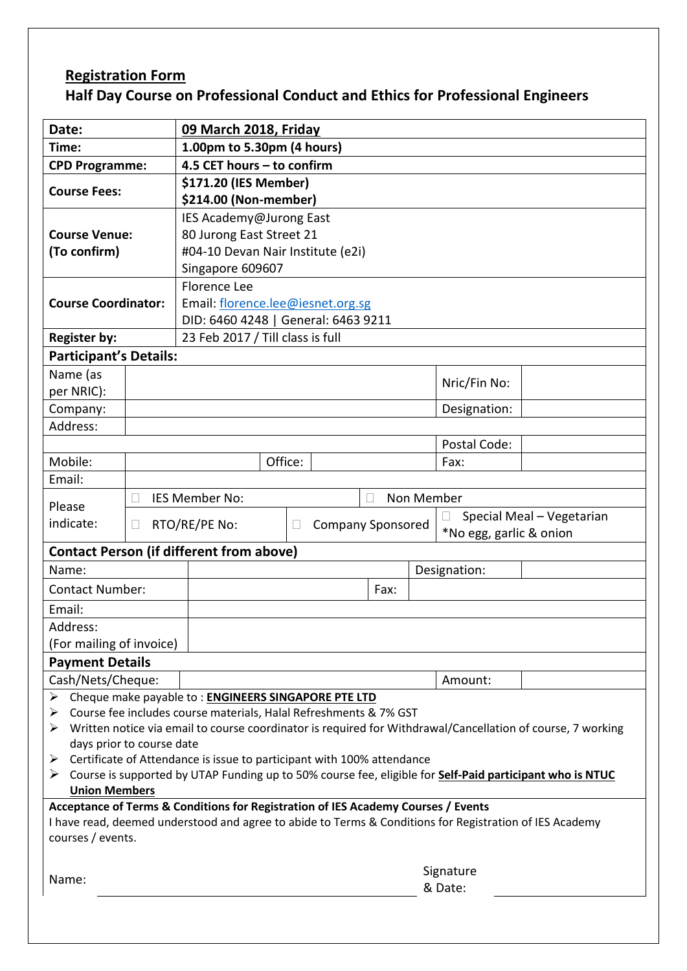# **Registration Form Half Day Course on Professional Conduct and Ethics for Professional Engineers**

| Date:                                                                                                                                                                                        |  | 09 March 2018, Friday                           |  |      |                           |                         |  |  |  |
|----------------------------------------------------------------------------------------------------------------------------------------------------------------------------------------------|--|-------------------------------------------------|--|------|---------------------------|-------------------------|--|--|--|
| Time:                                                                                                                                                                                        |  | 1.00pm to 5.30pm (4 hours)                      |  |      |                           |                         |  |  |  |
| <b>CPD Programme:</b>                                                                                                                                                                        |  | 4.5 CET hours - to confirm                      |  |      |                           |                         |  |  |  |
|                                                                                                                                                                                              |  | \$171.20 (IES Member)                           |  |      |                           |                         |  |  |  |
| <b>Course Fees:</b>                                                                                                                                                                          |  | \$214.00 (Non-member)                           |  |      |                           |                         |  |  |  |
|                                                                                                                                                                                              |  | IES Academy@Jurong East                         |  |      |                           |                         |  |  |  |
| <b>Course Venue:</b>                                                                                                                                                                         |  | 80 Jurong East Street 21                        |  |      |                           |                         |  |  |  |
| (To confirm)                                                                                                                                                                                 |  | #04-10 Devan Nair Institute (e2i)               |  |      |                           |                         |  |  |  |
|                                                                                                                                                                                              |  | Singapore 609607                                |  |      |                           |                         |  |  |  |
|                                                                                                                                                                                              |  | <b>Florence Lee</b>                             |  |      |                           |                         |  |  |  |
| <b>Course Coordinator:</b>                                                                                                                                                                   |  | Email: florence.lee@iesnet.org.sg               |  |      |                           |                         |  |  |  |
|                                                                                                                                                                                              |  | DID: 6460 4248   General: 6463 9211             |  |      |                           |                         |  |  |  |
| <b>Register by:</b>                                                                                                                                                                          |  | 23 Feb 2017 / Till class is full                |  |      |                           |                         |  |  |  |
| <b>Participant's Details:</b>                                                                                                                                                                |  |                                                 |  |      |                           |                         |  |  |  |
| Name (as                                                                                                                                                                                     |  |                                                 |  |      | Nric/Fin No:              |                         |  |  |  |
| per NRIC):                                                                                                                                                                                   |  |                                                 |  |      |                           |                         |  |  |  |
| Company:                                                                                                                                                                                     |  |                                                 |  |      | Designation:              |                         |  |  |  |
| Address:                                                                                                                                                                                     |  |                                                 |  |      |                           |                         |  |  |  |
|                                                                                                                                                                                              |  |                                                 |  |      | Postal Code:              |                         |  |  |  |
| Mobile:                                                                                                                                                                                      |  | Office:                                         |  | Fax: |                           |                         |  |  |  |
| Email:                                                                                                                                                                                       |  |                                                 |  |      |                           |                         |  |  |  |
| Please                                                                                                                                                                                       |  | IES Member No:<br>Non Member                    |  |      |                           |                         |  |  |  |
| indicate:<br>Ш                                                                                                                                                                               |  | RTO/RE/PE No:                                   |  |      | Special Meal - Vegetarian |                         |  |  |  |
|                                                                                                                                                                                              |  | <b>Company Sponsored</b><br>$\mathbf{L}$        |  |      |                           | *No egg, garlic & onion |  |  |  |
|                                                                                                                                                                                              |  | <b>Contact Person (if different from above)</b> |  |      |                           |                         |  |  |  |
| Name:                                                                                                                                                                                        |  |                                                 |  |      | Designation:              |                         |  |  |  |
| <b>Contact Number:</b>                                                                                                                                                                       |  |                                                 |  | Fax: |                           |                         |  |  |  |
| Email:                                                                                                                                                                                       |  |                                                 |  |      |                           |                         |  |  |  |
| Address:                                                                                                                                                                                     |  |                                                 |  |      |                           |                         |  |  |  |
| (For mailing of invoice)                                                                                                                                                                     |  |                                                 |  |      |                           |                         |  |  |  |
| <b>Payment Details</b>                                                                                                                                                                       |  |                                                 |  |      |                           |                         |  |  |  |
| Cash/Nets/Cheque:                                                                                                                                                                            |  |                                                 |  |      | Amount:                   |                         |  |  |  |
| Cheque make payable to: ENGINEERS SINGAPORE PTE LTD<br>➤                                                                                                                                     |  |                                                 |  |      |                           |                         |  |  |  |
| Course fee includes course materials, Halal Refreshments & 7% GST<br>➤                                                                                                                       |  |                                                 |  |      |                           |                         |  |  |  |
| Written notice via email to course coordinator is required for Withdrawal/Cancellation of course, 7 working<br>➤                                                                             |  |                                                 |  |      |                           |                         |  |  |  |
| days prior to course date                                                                                                                                                                    |  |                                                 |  |      |                           |                         |  |  |  |
| Certificate of Attendance is issue to participant with 100% attendance<br>➤                                                                                                                  |  |                                                 |  |      |                           |                         |  |  |  |
| Course is supported by UTAP Funding up to 50% course fee, eligible for <b>Self-Paid participant who is NTUC</b><br>➤<br><b>Union Members</b>                                                 |  |                                                 |  |      |                           |                         |  |  |  |
|                                                                                                                                                                                              |  |                                                 |  |      |                           |                         |  |  |  |
| Acceptance of Terms & Conditions for Registration of IES Academy Courses / Events<br>I have read, deemed understood and agree to abide to Terms & Conditions for Registration of IES Academy |  |                                                 |  |      |                           |                         |  |  |  |
| courses / events.                                                                                                                                                                            |  |                                                 |  |      |                           |                         |  |  |  |
|                                                                                                                                                                                              |  |                                                 |  |      |                           |                         |  |  |  |
|                                                                                                                                                                                              |  | Signature                                       |  |      |                           |                         |  |  |  |
| Name:                                                                                                                                                                                        |  | & Date:                                         |  |      |                           |                         |  |  |  |
|                                                                                                                                                                                              |  |                                                 |  |      |                           |                         |  |  |  |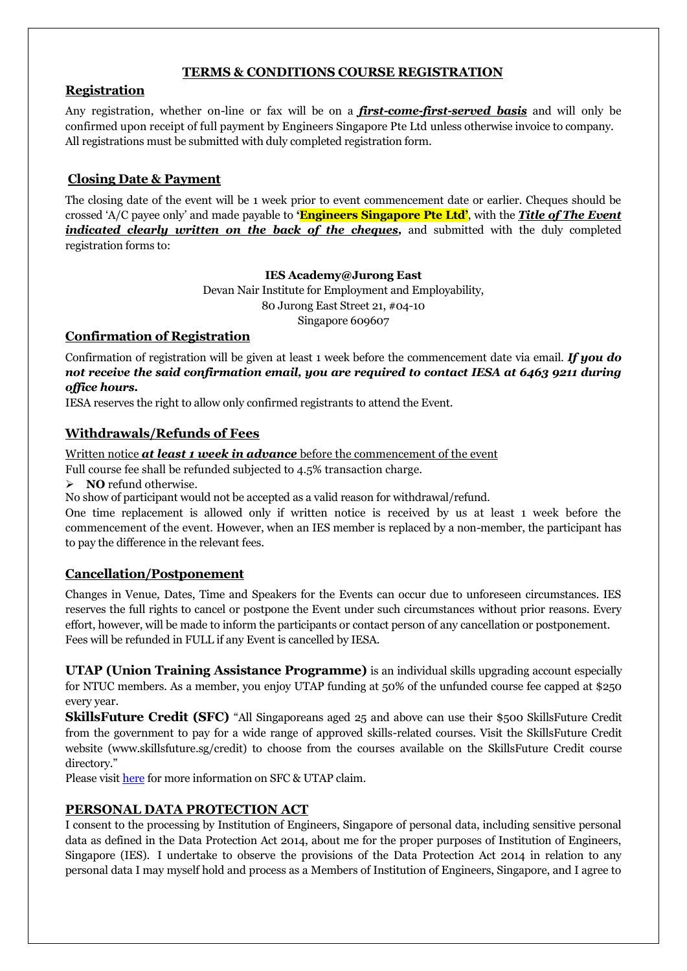## **TERMS & CONDITIONS COURSE REGISTRATION**

## **Registration**

Any registration, whether on-line or fax will be on a *first-come-first-served basis* and will only be confirmed upon receipt of full payment by Engineers Singapore Pte Ltd unless otherwise invoice to company. All registrations must be submitted with duly completed registration form.

# **Closing Date & Payment**

The closing date of the event will be 1 week prior to event commencement date or earlier. Cheques should be crossed "A/C payee only" and made payable to **'Engineers Singapore Pte Ltd'**, with the *Title of The Event indicated clearly written on the back of the cheques,* and submitted with the duly completed registration forms to:

### **IES Academy@Jurong East**

Devan Nair Institute for Employment and Employability, 80 Jurong East Street 21, #04-10 Singapore 609607

## **Confirmation of Registration**

Confirmation of registration will be given at least 1 week before the commencement date via email. *If you do not receive the said confirmation email, you are required to contact IESA at 6463 9211 during office hours.*

IESA reserves the right to allow only confirmed registrants to attend the Event.

# **Withdrawals/Refunds of Fees**

Written notice **at least 1 week in advance** before the commencement of the event

Full course fee shall be refunded subjected to 4.5% transaction charge.

> **NO** refund otherwise.

No show of participant would not be accepted as a valid reason for withdrawal/refund.

One time replacement is allowed only if written notice is received by us at least 1 week before the commencement of the event. However, when an IES member is replaced by a non-member, the participant has to pay the difference in the relevant fees.

# **Cancellation/Postponement**

Changes in Venue, Dates, Time and Speakers for the Events can occur due to unforeseen circumstances. IES reserves the full rights to cancel or postpone the Event under such circumstances without prior reasons. Every effort, however, will be made to inform the participants or contact person of any cancellation or postponement. Fees will be refunded in FULL if any Event is cancelled by IESA.

**UTAP (Union Training Assistance Programme)** is an individual skills upgrading account especially for NTUC members. As a member, you enjoy UTAP funding at 50% of the unfunded course fee capped at \$250 every year.

**SkillsFuture Credit (SFC)** "All Singaporeans aged 25 and above can use their \$500 SkillsFuture Credit from the government to pay for a wide range of approved skills-related courses. Visit the SkillsFuture Credit website (www.skillsfuture.sg/credit) to choose from the courses available on the SkillsFuture Credit course directory."

Please visit [here](https://www.ies.org.sg/Tenant/C0000005/00000001/Images/IESA/Skillsfuture%20%26%20UTAP%20updated%20on%206%20dec%2017.pdf) for more information on SFC & UTAP claim.

# **PERSONAL DATA PROTECTION ACT**

I consent to the processing by Institution of Engineers, Singapore of personal data, including sensitive personal data as defined in the Data Protection Act 2014, about me for the proper purposes of Institution of Engineers, Singapore (IES). I undertake to observe the provisions of the Data Protection Act 2014 in relation to any personal data I may myself hold and process as a Members of Institution of Engineers, Singapore, and I agree to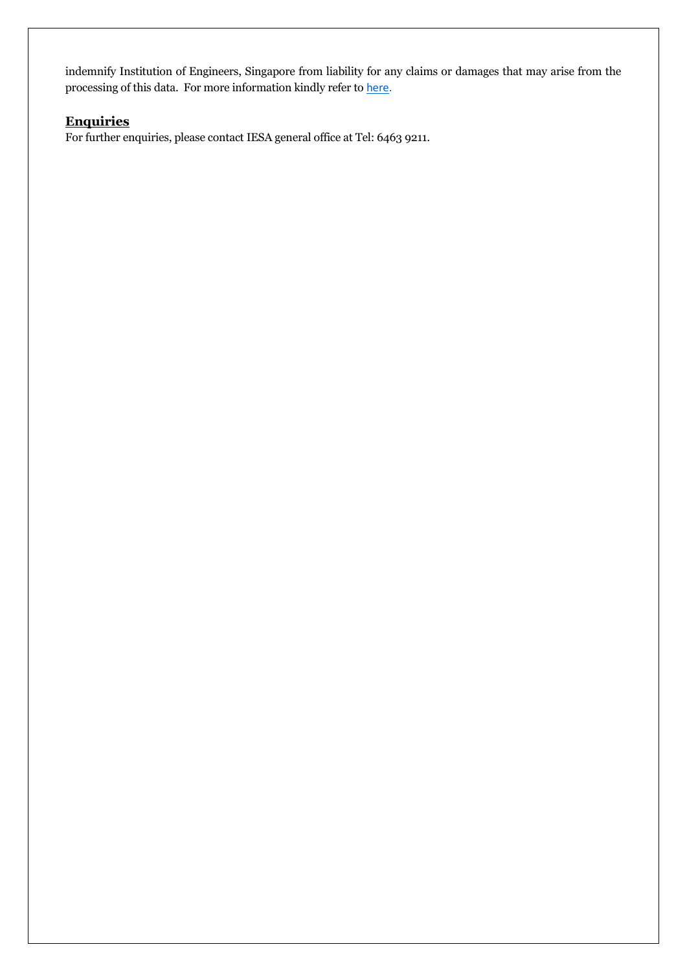indemnify Institution of Engineers, Singapore from liability for any claims or damages that may arise from the processing of this data. For more information kindly refer to [here.](https://www.ies.org.sg/Tenant/C0000005/PDF%20file/PDPA/PDPA.pdf)

# **Enquiries**

For further enquiries, please contact IESA general office at Tel: 6463 9211.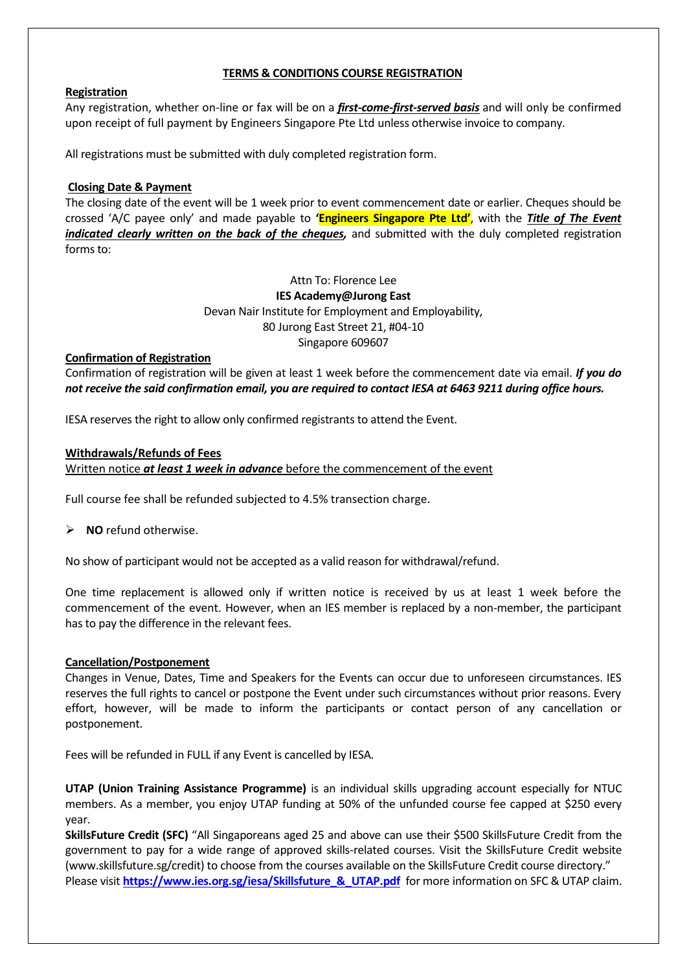### **TERMS & CONDITIONS COURSE REGISTRATION**

#### **Registration**

Any registration, whether on-line or fax will be on a *first-come-first-served basis* and will only be confirmed upon receipt of full payment by Engineers Singapore Pte Ltd unless otherwise invoice to company.

All registrations must be submitted with duly completed registration form.

### **Closing Date & Payment**

The closing date of the event will be 1 week prior to event commencement date or earlier. Cheques should be crossed 'A/C payee only' and made payable to **'Engineers Singapore Pte Ltd'**, with the *Title of The Event indicated clearly written on the back of the cheques,* and submitted with the duly completed registration forms to:

> Attn To: Florence Lee **IES Academy@Jurong East** Devan Nair Institute for Employment and Employability, 80 Jurong East Street 21, #04-10 Singapore 609607

### **Confirmation of Registration**

Confirmation of registration will be given at least 1 week before the commencement date via email. *If you do not receive the said confirmation email, you are required to contact IESA at 6463 9211 during office hours.*

IESA reserves the right to allow only confirmed registrants to attend the Event.

### **Withdrawals/Refunds of Fees**

Written notice *at least 1 week in advance* before the commencement of the event

Full course fee shall be refunded subjected to 4.5% transection charge.

**NO** refund otherwise.

No show of participant would not be accepted as a valid reason for withdrawal/refund.

One time replacement is allowed only if written notice is received by us at least 1 week before the commencement of the event. However, when an IES member is replaced by a non-member, the participant has to pay the difference in the relevant fees.

#### **Cancellation/Postponement**

Changes in Venue, Dates, Time and Speakers for the Events can occur due to unforeseen circumstances. IES reserves the full rights to cancel or postpone the Event under such circumstances without prior reasons. Every effort, however, will be made to inform the participants or contact person of any cancellation or postponement.

Fees will be refunded in FULL if any Event is cancelled by IESA.

**UTAP (Union Training Assistance Programme)** is an individual skills upgrading account especially for NTUC members. As a member, you enjoy UTAP funding at 50% of the unfunded course fee capped at \$250 every year.

**SkillsFuture Credit (SFC)** "All Singaporeans aged 25 and above can use their \$500 SkillsFuture Credit from the government to pay for a wide range of approved skills-related courses. Visit the SkillsFuture Credit website (www.skillsfuture.sg/credit) to choose from the courses available on the SkillsFuture Credit course directory." Please visit **[https://www.ies.org.sg/iesa/Skillsfuture\\_&\\_UTAP.pdf](https://www.ies.org.sg/iesa/Skillsfuture_&_UTAP.pdf)** for more information on SFC & UTAP claim.